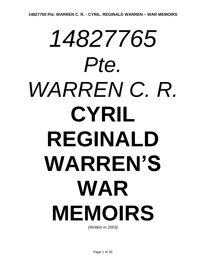# *14827765 Pte. WARREN C. R.* **CYRIL REGINALD WARREN'S WAR MEMOIRS**

*(Written in 2003)*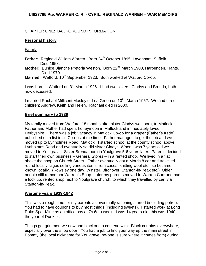# CHAPTER ONE: BACKGROUND INFORMATION

# **Personal history**

Family

- **Father:** Reginald William Warren. Born 24<sup>th</sup> October 1895, Lavenham, Suffolk. Died 1958.
- **Mother:** Eunice Blanche Pretoria Weston. Born 22<sup>nd</sup> March 1900, Harpenden, Hants. Died 1970.
- Married: Watford, 10<sup>th</sup> September 1923. Both worked at Watford Co-op.

I was born in Watford on 3<sup>rd</sup> March 1926. I had two sisters; Gladys and Brenda, both now deceased.

I married Rachael Millicent Mosley of Lea Green on 10<sup>th</sup>. March 1952. We had three children; Andrew, Keith and Helen. Rachael died in 2000.

## **Brief summary to 1939**

My family moved from Watford, 18 months after sister Gladys was born, to Matlock. Father and Mother had spent honeymoon in Matlock and immediately loved Derbyshire. There was a job vacancy in Matlock Co-op for a draper (Father's trade), published on a list in all Co-ops at the time. Father managed to get the job and we moved up to Lynholmes Road, Matlock. I started school at the county school above Lynholmes Road and eventually so did sister Gladys. When I was 7 years old we moved to Youlgrave. Sister Brenda born in Youlgrave 5-6 years later. Parents decided to start their own business – General Stores – in a rented shop. We lived in a flat above the shop on Church Street. Father eventually got a Morris 8 car and travelled round local villages selling various items from cases, knitting wool etc., so became known locally. (Rowsley one day, Winster, Birchover, Stanton-in-Peak etc.) Older people still remember Warren's Shop. Later my parents moved to Warren Carr and had a lock up, rented shop next to Youlgrave church, to which they travelled by car, via Stanton-in-Peak.

## **Wartime years 1939-1942**

This was a rough time for my parents as eventually rationing started (including petrol). You had to have coupons to buy most things (including sweets). I started work at Long Rake Spar Mine as an office boy at 7s 6d a week. I was 14 years old; this was 1940, the year of Dunkirk.

Things got grimmer, we now had blackout to contend with. Black curtains everywhere, especially over the shop door. You had a job to find your way up the main street in Pommy (the local nickname for Youlgrave, no-one is sure where it comes from) during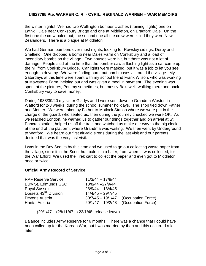the winter nights! We had two Wellington bomber crashes (training flights) one on Lathkill Dale near Conksbury Bridge and one at Middleton, on Bradford Dale. On the first one the crew baled out; the second one all the crew were killed they were New Zealanders. There is a plaque at Middleton.

We had German bombers over most nights, looking for Rowsley sidings, Derby and Sheffield. One dropped a bomb near Dales Farm on Conksbury and a load of incendiary bombs on the village. Two houses were hit, but there was not a lot of damage. People said at the time that the bomber saw a flashing light as a car came up the hill from Conksbury Bridge. Car lights were masked, but it was a job to let you see enough to drive by. We were finding burnt out bomb cases all round the village. My Saturdays at this time were spent with my school friend Frank Wilson, who was working at Mawstone Farm, helping out and was given a meal in payment. The evening was spent at the pictures, Pommy sometimes, but mostly Bakewell, walking there and back Conksbury way to save money.

During 1938/39/40 my sister Gladys and I were sent down to Grandma Weston in Watford for 2-3 weeks, during the school summer holidays. The shop tied down Father and Mother. We were taken by Father to Matlock Station where we were put in the charge of the guard, who seated us, then during the journey checked we were OK. As we reached London, he warned us to gather our things together and on arrival at St. Pancras station, helped us off the train and watched us make our way to the big clock at the end of the platform, where Grandma was waiting. We then went by Underground to Watford. We heard our first air-raid sirens during the last visit and our parents decided that was the very last visit.

I was in the Boy Scouts by this time and we used to go out collecting waste paper from the village, store it in the Scout hut, bale it in a baler, from where it was collected, for the War Effort! We used the Trek cart to collect the paper and even got to Middleton once or twice.

## **Official Army Record of Service**

| <b>RAF Reserve Service</b>         | $11/3/44 - 17/8/44$ |                                        |
|------------------------------------|---------------------|----------------------------------------|
| Bury St. Edmunds GSC               | 18/8/44 - 27/9/44   |                                        |
| <b>Royal Sussex</b>                | $28/9/44 - 13/4/45$ |                                        |
| Dorsets 43 <sup>rd.</sup> Division | $14/4/45 - 29/7/45$ |                                        |
| Devons Austria                     | $30/7/45 - 19/1/47$ | (Occupation Force)                     |
| Hants. Austria                     |                     | $20/1/47 - 19/2/48$ (Occupation Force) |
|                                    |                     |                                        |

(20/1/47 – (28/11/47 to 23/1/48: release leave)

Balance includes Army Reserve for 6 months. There was a chance that I could have been called up for the Korean War, but I was married by then and this occurred a lot later.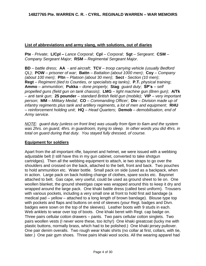## **List of abbreviations and army slang, with solutions, out of diaries**

**Pte** - *Private*; **L/Cpl –** *Lance Corporal*; **Cpl** – *Corporal*; **Sgt** – *Sergeant*; **CSM** – *Company Sergeant Major*; **RSM** – *Regimental Sergeant Major*.

**BD** – *battle dress*; **AA** - *anti aircraft*; **TCV** – *troop carrying vehicle (usually Bedford QL)*; **POW** – *prisoner of war*; **Battn** – *Battalion (about 1000 men)*; **Coy** – *Company (about 100 men)*; **Pltn** – *Platoon (about 30 men)*; **Sect** - *Section (10 men)*; **Regt** – *Regiment (tied to Counties, or specialists eg tanks)*; **P.T.** *physical training*; **Ammo** – *ammunition*; **Pukka** – *done properly*; **Stag** *guard duty*; **SP's** – *self propelled guns (field gun on tank chassis)*; **LMG** – *light machine gun (Bren gun)*; **A/Tk**  – *anti tank gun*; **25 pounder** – *standard British field gun (mobile)*; **VIP** – *very important person*; **MM** – *Military Medal*; **CO** – *Commanding Officer*; **Div** – *Division made up of infantry regiments plus tank and artillery regiments, a lot of men and equipment*; **RHU** – *reinforcement holding unit*;**HQ** – *Head Quarters*; **Demob** – *demobilisation, end of Army service.*

*NOTE: guard duty (unless on front line) was usually from 6pm to 6am and the system was 2hrs. on guard, 4hrs. in guardroom, trying to sleep. In other words you did 4hrs. in total on guard during that duty. You stayed fully dressed, of course.*

## **Equipment for soldiers**

Apart from the all important rifle, bayonet and helmet, we were issued with a webbing adjustable belt (I still have this in my gun cabinet, converted to take shotgun cartridges). Then all the webbing equipment to attach, ie two straps to go over the shoulders and crossed on the back, attached to the belt, front and back. Two pouches to hold ammunition etc. Water bottle. Small pack on side (used as a backpack, when in action. Large pack on back holding change of clothes, spare socks etc. Bayonet attached to belt. Gas cape, very useful, could be used as ground sheet to lie on. One woollen blanket, the ground sheet/gas cape was wrapped around this to keep it dry and wrapped around the large pack. One khaki battle dress (called best uniform). Trousers with various pockets, including a very small one at front to hold first aid bandage (a medical pad – yellow – attached to a long length of brown bandage). Blouse type top with pockets and flaps and buttons on end of sleeves (your Regt. badges and Divn. badges were sown on the top of the sleeves). Leather boots with 9 studs in each. Web anklets to wear over top of boots. One khaki beret with Regt. cap badge on. Three pairs cellular cotton drawers – pants. Two pairs cellular cotton singlets. Two pairs woollen vests (I never wore these, too itchy!) One khaki greatcoat (lucky me with plastic buttons, normally brass, which had to be polished.) One khaki jersey pullover. One pair denim overalls. Two rough wear khaki shirts (no collar at first, collars, with tie, later.) One pair gym shoes. Three pairs khaki wool socks. All the wearing apparel had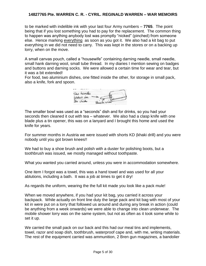to be marked with indelible ink with your last four Army numbers – **7765**. The point being that if you lost something you had to pay for the replacement. The common thing to happen was anything anybody lost was promptly "nicked" (pinched) from someone else. Hence marking everything as soon as you got it. We also had a kit bag to put everything in we did not need to carry. This was kept in the stores or on a backing up lorry, when on the move.

A small canvas pouch, called a "housewife" containing darning needle, small needle, small hank darning wool, small tube thread. In my diaries I mention sewing on badges and buttons and darning socks. We were allowed a certain time for wear and tear, but it was a bit extended!

For food, two aluminium dishes, one fitted inside the other, for storage in small pack, also a knife, fork and spoon.



The smaller bowl was used as a "seconds" dish and for drinks, so you had your seconds then cleaned it out with tea – whatever. We also had a clasp knife with one blade plus a tin opener, this was on a lanyard and I brought this home and used the knife for years.

For summer months in Austria we were issued with shorts KD (khaki drill) and you were nobody until you got brown knees!!

We had to buy a shoe brush and polish with a duster for polishing boots, but a toothbrush was issued, we mostly managed without toothpaste.

What you wanted you carried around, unless you were in accommodation somewhere.

One item I forgot was a towel, this was a hand towel and was used for all your ablutions, including a bath. It was a job at times to get it dry!

As regards the uniform, wearing the the full kit made you look like a pack mule!

When we moved anywhere, if you had your kit bag, you carried it across your backpack. While actually on front line duty the large pack and kit bag with most of your kit in were put on a lorry that followed us around and during any break in action (could be anything from a week onwards) we were able to change into clean underwear. The mobile shower lorry was on the same system, but not as often as it took some while to set it up.

We carried the small pack on our back and this had our meal tins and implements, towel, razor and soap dish, toothbrush, waterproof cape and, with me, writing materials. The rest of the equipment carried was ammunition, 2 Bren gun magazines, a bandolier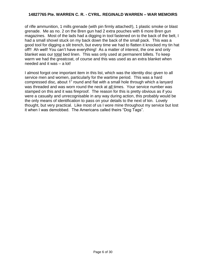of rifle ammunition, 1 mills grenade (with pin firmly attached!), 1 plastic smoke or blast grenade. Me as no. 2 on the Bren gun had 2 extra pouches with 6 more Bren gun magazines. Most of the lads had a digging in tool fastened on to the back of the belt, I had a small shovel stuck on my back down the back of the small pack. This was a good tool for digging a slit trench, but every time we had to flatten it knocked my tin hat off!! Ah well! You can't have everything! As a matter of interest, the one and only blanket was our total bed linen. This was only used at permanent billets. To keep warm we had the greatcoat, of course and this was used as an extra blanket when needed and it was – a lot!

I almost forgot one important item in this list, which was the identity disc given to all service men and women, particularly for the wartime period. This was a hard compressed disc, about 1" round and flat with a small hole through which a lanyard was threaded and was worn round the neck at all times. Your service number was stamped on this and it was fireproof. The reason for this is pretty obvious as if you were a casualty and unrecognisable in any way during action, this probably would be the only means of identification to pass on your details to the next of kin. Lovely thought, but very practical. Like most of us I wore mine throughout my service but lost it when I was demobbed. The Americans called theirs "Dog Tags".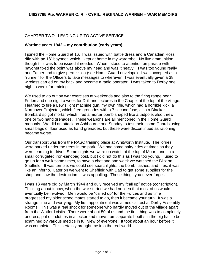# CHAPTER TWO: LEADING UP TO ACTIVE SERVICE

## **Wartime years 1942 – my contribution (early years).**

I joined the Home Guard at 16. I was issued with battle dress and a Canadian Ross rifle with an 18" bayonet, which I kept at home in my wardrobe! No live ammunition, though this was to be issued if needed! When I stood to attention on parade with bayonet fixed the point was above my head and was it heavy!! I was too young really and Father had to give permission (see Home Guard envelope). I was accepted as a "runner" for the Officers to take messages to wherever. I was eventually given a 38 wireless carried on my back and became a radio operator. I was taken to Derby one night a week for training.

We used to go out on war exercises at weekends and also to the firing range near Friden and one night a week for Drill and lectures in the Chapel at the top of the village. I learned to fire a Lewis light machine gun, my own rifle, which had a horrible kick, a Northover Projector, which fired grenades with a 7 second fuse, also a Blacker Bombard spigot mortar which fired a mortar bomb shaped like a tadpole, also threw one or two hand grenades. These weapons are all mentioned in the Home Guard manuals. We did an attack on Ashbourne one Sunday to test their Home Guards using small bags of flour used as hand grenades, but these were discontinued as rationing became worse.

Our transport was from the RASC training place at Whitworth Institute. The lorries were parked under the trees in the park. We had some hairy rides at times as they were learning to drive! Some nights we were on watch at the top of Moor Lane, in a small corrugated iron-sandbag post, but I did not do this as I was too young. I used to go up for a walk some times, to have a chat and one week we watched the Blitz on Sheffield. It was terrible, we could see searchlights, the bomb flashes, and fires; it was like an inferno. Later on we went to Sheffield with Dad to get some supplies for the shop and saw the destruction, it was appalling. These things you never forget.

I was 18 years old by March 1944 and duly received my "call up" notice (conscription). Thinking about it now, when the war started we had no idea that most of us would eventually be involved. Men would be "called up" for the Forces and as time progressed my older schoolmates started to go, then it became your turn. It was a strange time and worrying. My first appointment was a medical test at Derby Assembly Rooms. This was a real shock for someone who hardly moved out of the village apart from the Watford visits. There were about 50 of us and the first thing was to completely undress, put our clothes in a locker and move from separate booths in the big hall to be examined by various medics in full view of everyone! It took about an hour before it was complete. This certainly brought me into the real world.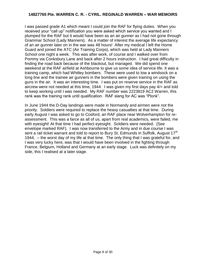I was passed grade A1 which meant I could join the RAF for flying duties. When you received your "call up" notification you were asked which service you wanted and I plumped for the RAF but it would have been as an air gunner as I had not gone through Grammar School (Lady Manners). As a matter of interest the average life expectancy of an air gunner later on in the war was 48 hours! After my medical I left the Home Guard and joined the ATC (Air Training Corps), which was held at Lady Manners School one night a week. This was after work, of course and I walked over from Pommy via Conksbury Lane and back after 2 hours instruction. I had great difficulty in finding the road back because of the blackout, but managed. We did spend one weekend at the RAF airfield at Ashbourne to give us some idea of service life. It was a training camp, which had Whitley bombers. These were used to tow a windsock on a long line and the trainee air gunners in the bombers were given training on using the guns in the air. It was an interesting time. I was put on reserve service in the RAF as aircrew were not needed at this time, 1944. I was given my first days pay 4/= and told to keep working until I was needed. My RAF number was 2223819 AC2 Warren, this rank was the training rank until qualification. RAF slang for AC was "Plonk".

In June 1944 the D-Day landings were made in Normandy and airmen were not the priority. Soldiers were required to replace the heavy casualties at that time. During early August I was asked to go to Cosford, an RAF place near Wolverhampton for reassessment. This was a farce as all of us, apart from real academics, were failed, me with eyesight! At that time I had perfect eyesight. Soldiers were needed. (See envelope marked RAF). I was now transferred to the Army and in due course I was sent a rail ticket warrant and told to report to Bury St. Edmunds in Suffolk, August 17<sup>th</sup> 1944, – the worst day of my life at that time. The only thing that I was grateful for, and I was very lucky here, was that I would have been involved in the fighting through France, Belgium, Holland and Germany at an early stage. Luck was definitely on my side, this I realised at a later stage.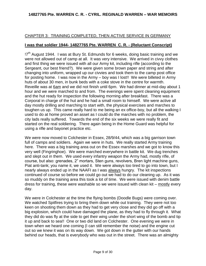# CHAPTER 3: TRAINING COMPLETED, THEN ACTIVE SERVICE IN GERMANY

## **I was that soldier 1944- 14827765 Pte. WARREN C. R. - (Reluctant Conscript)**

!7<sup>th</sup> August 1944. I was at Bury St. Edmunds for 6 weeks, doing basic training and we were not allowed out of camp at all. It was very intensive. We arrived in civvy clothes and first thing we were issued with all our Army kit, including rifle (according to the Sergeant, our best friend?). We were given some brown paper and string and after changing into uniform, wrapped up our civvies and took them to the camp post office for posting home. I was now in the Army – boy was I lost!! We were billeted in Army huts of about 30 men, in bunk beds with a coke stove in the centre for warmth. Reveille was at 6am and we did not finish until 6pm. We had dinner at mid-day about 1 hour and we were marched to and from. The evenings were spent cleaning equipment and the hut ready for inspection the following morning after breakfast. There was a Corporal in charge of the hut and he had a small room to himself. We were active all day mostly drilling and marching to start with, the physical exercises and marches to toughen us up. This came really hard to me being an ex office-boy, but all the walking I used to do at home proved an asset as I could do the marches with no problem, the city lads really suffered. Towards the end of the six weeks we were really fit and started on the real soldiering. There again being in the Home Guard was helpful for using a rifle and bayonet practice etc.

We were now moved to Colchester in Essex, 28/9/44, which was a big garrison town full of camps and soldiers. Again we were in huts. We really started Army training here. There was a big training area out on the Essex marshes and we got to know this very well (Fingringhoe). We were marched everywhere in battle kit. We dug trenches and slept out in them. We used every infantry weapon the Army had, mostly rifle, of course, but also: grenades, 2" mortars, Sten guns, revolvers, Bren light machine guns, Piat anti-tank; you name it, we used it. We were always too tired to go into town, but I nearly always ended up in the NAAFI as I was always hungry. The kit inspections continued of course so before we could go out we had to do our cleaning up. As it was so muddy on the training area this took a lot of time. We were issued with denim battle dress for training, these were washable so we were issued with clean kit – mostly every day.

We were in Colchester at the time the flying bombs (Doodle Bugs) were coming over. We watched Spitfires trying to bring them down while out training. They were not too keen on shooting them down as they had to get very close and they did go off with a big explosion, which could have damaged the plane, as they had to fly through it. What they did do was fly at the side to get their wing under the short wing of the bomb and tip it up and back to sea!! One or two did land on Colchester. One evening we were in town when we heard one coming (I can still remember the noise) and the engine cut out so we knew it was on its way down. We got down in the gutter with our hands behind our heads, that is everybody who was out in the street. There was an almighty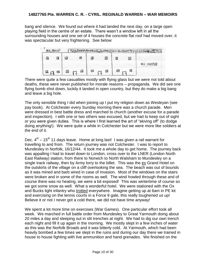bang and silence. We found out where it had landed the next day, on a large open playing field in the centre of an estate. There wasn't a window left in all the surrounding houses and one set of 4 houses the concrete flat roof had moved over, it was spectacular but very frightening. See below:



There were quite a few casualties mostly with flying glass but we were not told about deaths, these were never published for morale reasons – propaganda. We did see one flying bomb shot down, luckily it landed in open country, but they do make a big bang and leave a big hole.

The only sensible thing I did when joining up I put my religion down as Wesleyan (see pay book). At Colchester every Sunday morning there was a church parade. Men were dressed in best battle dress and marched to church (another excuse for a parade and inspection). I with one or two others was excused, but we had to keep out of sight or you were given duties. This is where I first learned the art of "skiving off" (to dodge doing anything!). We were quite a while in Colchester but we were more like soldiers at the end of it.

Dec.  $4^{th}$  – 15<sup>th</sup> 11 days leave. Home at long last! I was given a rail warrant for travelling to and from. The return journey was not Colchester. I was to report to Mundesley in Norfolk, 16/12/44. It took me a whole day to get home. The journey back was appalling I had to travel down to London, cross over to the LNER (London North East Railway) station, from there to Norwich to North Walsham to Mundesley on a single track railway, then by Army lorry to the billet. This was the ex Grand Hotel on the outskirts of the village on a cliff overlooking the sea. The beach was out of bounds as it was mined and barb wired in case of invasion. Most of the windows on the stairs were broken and in some of the rooms as well. The wind howled through these and of course there was no heating, we were a bit exposed! This was wintertime of course so we got some snow as well. What a wonderful hotel. We were stationed with the Ox and Bucks light infantry who trotted everywhere. Imagine getting up at 6am in PE kit and exercising on the tennis courts in a Force 9 gale, this really toughened us up! Believe it or not I never got a cold there, we did not have time anyway!

We spent a lot more time on exercises (War Games). One particular effort took all week. We marched in full battle order from Mundesley to Great Yarmouth doing about 20 miles a day and sleeping out in slit trenches at night. We had to dig our own trench each night and fill it up again in the morning. We mostly slept in a few inches of water as this was the Norfolk Broads and it was bitterly cold. At Yarmouth, which had been heavily bombed a few times we slept in the ruins and during our day there we trained in house to house fighting with live ammunition and hand grenades. We finished on the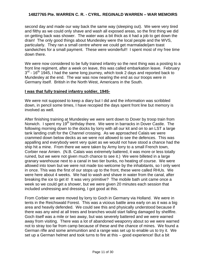second day and made our way back the same way (sleeping out). We were very tired and filthy as we could only shave and wash all exposed areas, so the first thing we did on getting back was shower. The water was a bit thick as it had a job to get down the drain! The only good things about Mundesley were the local people and the WVS, particularly. They ran a small centre where we could get marmalade/jam toast sandwiches for a small payment. These were wonderful!! I spent most of my free time down there.

We were now considered to be fully trained infantry so the next thing was a posting to a front line regiment, after a week on leave, this was called embarkation leave. February  $3<sup>rd</sup>$  - 16<sup>th</sup> 1945, I had the same long journey, which took 2 days and reported back to Mundesley at the end. The war was now nearing the end as our troops were in Germany itself. British in the North West, Americans in the South.

## **I was that fully trained infantry soldier, 1945-**

We were not supposed to keep a diary but I did and the information was scribbled down, in pencil some times, I have recopied the days spent front line but memory is involved as well.

After finishing training at Mundesley we were sent down to Dover by troop train from Norwich. I spent my 19<sup>th</sup> birthday there. We were in barracks in Dover Castle. The following morning down to the docks by lorry with all our kit and on to an LST a large tank landing craft for the Channel crossing. As we approached Calais we were crammed down below decks as we were not allowed to see the defences. This was appalling and everybody went very quiet as we would not have stood a chance had the ship hit a mine. From there we were taken by Army lorry to a small French town, Corbier near Amien. (N.B. Calais was extremely battered, it was more or less totally ruined, but we were not given much chance to see it.) We were billeted in a large granary warehouse next to a canal in two tier bunks, no heating of course. We were allowed into town but we were not made too welcome by the inhabitants, so I only went in once. This was the first of our stops up to the front, these were called RHUs. We were here about 4 weeks. We had to wash and shave in water from the canal, after breaking the ice to get it! It was very primitive? The mobile bath unit came once a week so we could get a shower, but we were given 20 minutes each session that included undressing and dressing, I got good at this.

From Corbier we were moved by lorry to Goch in Germany via Holland. We were in tents in the Reichswald Forest. This was a vicious battle area early on as it was a big area and heavily defended. We could see this and physically understood because if there was any wind at all trees and branches would start falling damaged by shellfire. Goch itself was a mile or two away, but was severely battered and we were warned away from visiting. There was a lot of abandoned weaponry about so we were warned not to stray too far from camp because of these and the chance of mines. We found a German rifle and some ammunition and a range was set up to enable us to try it. We set up a German helmet and took turns to fire at this – good experience! But a bit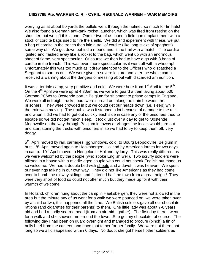worrying as at about 50 yards the bullets went through the helmet, so much for tin hats! We also found a German anti-tank rocket launcher, which was fired from resting on the shoulder, but we left this alone. One or two of us found a field gun emplacement with a stock of cordite bags used to fire the shells. We did and experiment with these, we put a bag of cordite in the trench then laid a trail of cordite (like long sticks of spaghetti) some way off. We got down behind a mound and lit the trail with a match. The cordite ignited and flashed away like a rocket to the bag, which went up with an enormous sheet of flame, very spectacular. Of course we then had to have a go with **3** bags of cordite in the trench. This was even more spectacular as it went off with a whoomp! Unfortunately this was too much as it drew attention to the Officers who dispatched a Sergeant to sort us out. We were given a severe lecture and later the whole camp received a warning about the dangers of messing about with discarded ammunition.

It was a terrible camp, very primitive and cold. We were here from 1<sup>st</sup> April to the  $5<sup>th</sup>$ . On the  $4<sup>th</sup>$  April we were up at 4.30am as we were to quard a train taking about 500 German POWs to Oostende port in Belgium for shipment to prison camps in England. We were all in freight trucks, ours were spread out along the train between the prisoners. They were crowded in but we could get our heads down (i.e. sleep) while the train was moving. The trouble was it stopped a lot because of damage to the rails and when it did we had to get out quickly each side in case any of the prisoners tried to escape so we did not get much sleep. It took just over a day to get to Oostende. Meanwhile on the way through Belgium in towns or villages the locals would turn out and start stoning the trucks with prisoners in so we had to try to keep them off, very dodgy.

5<sup>th</sup>. April moved by rail, carriages, no windows, cold, to Bourg Leopoldville, Belgium in huts. 8<sup>th</sup> April moved again to Haaksbergen, Holland by American lorries for two days in camp. 10<sup>th</sup> April moved to Hengeloe in Holland by lorry. This was really different as we were welcomed by the people (who spoke English well). Two scruffy soldiers were billeted in a house with a middle-aged couple who could not speak English but made us so welcome. We had a double bed with sheets and a duvet, it was heaven! We spent our evenings talking in our own way. They did not like Americans as they had come over to bomb the railway sidings and flattened half the town from a great height! They were very short of food so could not offer much but they made up for it with their warmth of welcome.

In Holland, children hung about the camp in Haaksbergen, they were not allowed in the area but the minute any of us went for a walk we were pounced on, we were taken over by a child or two, this happened all the time. We British soldiers gave all our chocolate rations (and cigarettes for their parents) to them. One little lady was about 7-8 years old and had a badly scarred head (from an air raid I gather). The first day there I went for a walk and she showed me around the town. She got my chocolate, of course. The following day I had been on guard overnight and managed to procure (pinch) a tin of bully beef from the canteen and gave that to her for her family. We were not there that long so we all disappeared within 6 days. No doubt she got herself other soldiers as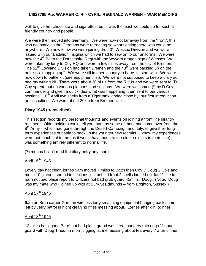well to give her chocolate and cigarettes, but it was the least we could do for such a friendly country and people.

We were then moved into Germany. We were now not far away from the "front", this was not static as the Germans were retreating so what fighting there was could be anywhere. We now knew we were joining the 43<sup>rd</sup> Wessex Division and we were issued with our Battalion insignia which we had to sew on to our uniforms. We were now the 4<sup>th</sup> Battn the Dorsetshire Regt with the Wyvern dragon sign of Wessex. We were taken by lorry to Coy HQ and were a few miles away from the city of Bremen. The  $52<sup>nd</sup>$  Lowland Division had taken Bremen and the  $43<sup>rd</sup>$  were backing up on the outskirts "mopping up". We were still in open country in barns to start with. We were now down to battle kit (see equipment list). We were not supposed to keep a diary so I had my writing kit. There were about 30 of us from the RHUs and we were sent to "D" Coy spread out on various platoons and sections. We were welcomed (!) by D Coy commander and given a quick idea what was happening, then sent to our various sections.  $16<sup>th</sup>$  April two shells from a Tiger tank landed close by, our first introduction, no casualties. We were about 30km from Bremen itself.

## **Diary 1945 (transcribed)**

This section records my personal thoughts and events on joining a front line infantry regiment. Older soldiers could tell you more as some of them had come over from the  $8<sup>th</sup>$  Army – which had gone through the Desert Campaign and Italy, to give their long term experiences of battle to back up the younger new recruits. I know my experiences were not much but to me (as it would have been to the older soldiers in their time) it was something entirely different to normal life.

(?) means I can't read the diary entry any more.

# April  $16^{th}$  1945

Lovely day hot clear, lorries 9am moved 7 miles to Battn then Coy D Doug 2 Cpls and me in 10 platoon spread in sections just behind front 2 shells landed not far  $1<sup>st</sup>$  fire in barn not bad place report to Officers not bad grub guard 45mins. Doug. (Note: Doug was my mate who I joined up with at Bury St Edmunds – from Brighton, Sussex.)

# April 17<sup>th</sup> 1945

6am on Bren carrier German wireless lorry smashing equipment bringing back some left by Jerry patrol in night cleaning rifles messing about. Lorries after din. (dinner)

## April 18<sup>th</sup> 1945

12 miles back good Barn! not bad place grand wash tea thundery rain eggs ¾ hour guard with Doug 1 hour in morn digging latrine messing about tea every ? after dinner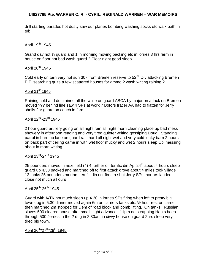drill starting parades hot dusty saw our planes bombing washing socks etc walk bath in tub

# April 19<sup>th</sup> 1945

Grand day hot ¾ guard and 1 in morning moving packing etc in lorries 3 hrs farm in house on floor not bad wash guard ? Clear night good sleep

# April 20<sup>th</sup> 1945

Cold early on turn very hot sun 30k from Bremen reserve to  $52<sup>nd</sup>$  Div attacking Bremen P.T. searching quite a few scattered houses for ammo ? wash writing raining ?

## April 21<sup>st</sup> 1945

Raining cold and dull rained all the while on guard ABCA by major on attack on Bremen moved ??? behind line saw 4 SPs at work ? Bofors tracer AA had to flatten for Jerry shells 2hr guard on couch in farm.

# April 22<sup>nd</sup>-23<sup>rd</sup> 1945

2 hour guard artillery going on all night rain all night morn cleaning place up bad mess showery in afternoon reading and very tired quieter writing gossiping Doug. Standing patrol in barn up lane on guard rain hard all night wet and very cold leaky barn 2 hours on back part of ceiling came in with wet floor mucky and wet 2 hours sleep Cpl messing about in morn writing

# April 23<sup>rd</sup>-24<sup>th</sup> 1945

25 pounders moved in next field (4) 4 further off terrific din Apl  $24<sup>th</sup>$  about 4 hours sleep guard up 4.30 packed and marched off to first attack drove about 4 miles took village 12 tanks 25 pounders mortars terrific din not fired a shot Jerry SPs mortars landed close not much all ours

# <u>April 25<sup>th</sup>-26<sup>th</sup> 1945</u>

Guard with A/TK not much sleep up 4.30 in lorries SPs firing when left to pretty big town dug in 5.30 dinner moved again 6m on carriers tanks etc. ½ hour rest on carrier then marched 2m stopped for Dem of road block and bomb lifting. On tanks. Russian slaves 500 cleared house after small night advance. 11pm no scrapping Hants been through 500 Jerries in the ? dug in 2.30am in civvy house on guard 2hrs sleep very tired big town.

# April 26<sup>th</sup>/27<sup>th</sup>/28<sup>th</sup> 1945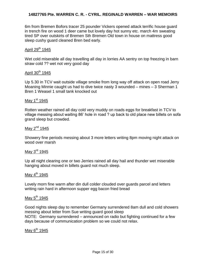6m from Bremen Bofors tracer 25 pounder Vickers opened attack terrific house guard in trench fire on wood 1 deer came but lovely day hot sunny etc. march 4m sweating tired SP over outskirts of Bremen Sth Bremen Old town in house on mattress good sleep cushy guard cleaned Bren bed early.

## April  $29<sup>th</sup>$  1945

Wet cold miserable all day travelling all day in lorries AA sentry on top freezing in barn straw cold ?? wet not very good day

#### April  $30<sup>th</sup>$  1945

Up 5.30 in TCV wait outside village smoke from long way off attack on open road Jerry Moaning Minnie caught us had to dive twice nasty 3 wounded – mines – 3 Sherman 1 Bren 1 Weasel 1 small tank knocked out

#### May  $1<sup>st</sup>$  1945

Rotten weather rained all day cold very muddy on roads eggs for breakfast in TCV to village messing about waiting 86' hole in road ? up back to old place new billets on sofa grand sleep but crowded.

## May  $2<sup>nd</sup>$  1945

Showery fine periods messing about 3 more letters writing 8pm moving night attack on wood over marsh

#### May 3<sup>rd</sup> 1945

Up all night clearing one or two Jerries rained all day hail and thunder wet miserable hanging about moved in billets guard not much sleep.

# May  $4^{\text{th}}$  1945

Lovely morn fine warm after din dull colder clouded over guards parcel and letters writing rain hard in afternoon supper egg bacon fried bread

## May  $5<sup>th</sup>$  1945

Good nights sleep day to remember Germany surrendered 8am dull and cold showers messing about letter from Sue writing guard good sleep NOTE: Germany surrendered – announced on radio but fighting continued for a few days because of communication problem so we could not relax.

## May  $6^{th}$  1945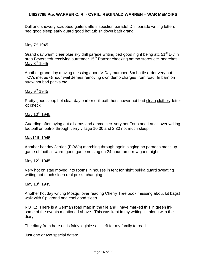Dull and showery scrubbed gaiters rifle inspection parade! Drill parade writing letters bed good sleep early guard good hot tub sit down bath grand.

# May  $7<sup>th</sup>$  1945

Grand day warm clear blue sky drill parade writing bed good night being att. 51<sup>st</sup> Div in area Beverstedt receiving surrender 15<sup>th</sup> Panzer checking ammo stores etc. searches May  $8^{th}$  1945

Another grand day moving messing about V Day marched 6m battle order very hot TCVs met us ½ hour wait Jerries removing own demo charges from road! In barn on straw not bad packs etc.

## May  $9^{th}$  1945

Pretty good sleep hot clear day barber drill bath hot shower not bad clean clothes letter kit check

#### May  $10^{th}$  1945

Guarding after laying out all arms and ammo sec. very hot Forts and Lancs over writing football on patrol through Jerry village 10.30 and 2.30 not much sleep.

#### May11th 1945

Another hot day Jerries (POWs) marching through again singing no parades mess up game of football warm good game no stag on 24 hour tomorrow good night.

## May  $12^{th}$  1945

Very hot on stag moved into rooms in houses in tent for night pukka guard sweating writing not much sleep real pukka changing

#### May 13 $th$  1945

Another hot day writing Mosqu. over reading Cherry Tree book messing about kit bags! walk with Cpl grand and cool good sleep.

NOTE: There is a German road map in the file and I have marked this in green ink some of the events mentioned above. This was kept in my writing kit along with the diary.

The diary from here on is fairly legible so is left for my family to read.

Just one or two special dates: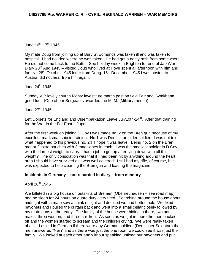# <u>June 16<sup>th</sup>-17<sup>th</sup> 1945</u>

My mate Doug from joining up at Bury St Edmunds was taken ill and was taken to hospital. I had no idea where he was taken. He had got a nasty rash from somewhere. He did not come back to the Battn. See holiday week in Brighton for end of Jap War – Diary 28<sup>th</sup> Aug 1945 – visited Doug who lived at Hove spent all afternoon with him and family.  $28<sup>th</sup>$  October 1945 letter from Doug. 16<sup>th</sup> December 1945 I was posted to Austria, did not hear from him again.

## June  $24^{\text{th}}$  1945

Sunday VIP lovely church Monty investiture march past on field Fair and Gymkhana good fun. (One of our Sergeants awarded the M. M. (Military medal))

## June  $27<sup>th</sup>$  1945

Left Dorsets for England and Disembarkation Leave July10th-24<sup>th</sup>. After that training for the War in the Far East – Japan.

After the first week on joining D Coy I was made no. 2 on the Bren gun because of my excellent marksmanship in training. No.1 was Dennis, an older soldier. I was not told what happened to his previous no. 2!! I hope it was leave. Being no. 2 on the Bren meant 2 extra pouches with 3 magazines in each. I was the smallest soldier in D Coy with the largest weight to carry. I had a job to get up after lying down with all this weight? The only consolation was that if I had been hit by anything around the heart area I should have survived as I was well covered! I still had my rifle, of course, but was expected to help cleaning the Bren gun and loading the magazine.

#### **Incidents in Germany – not recorded in diary – from memory**

## April 28<sup>th</sup> 1945

We billeted in a big house on outskirts of Bremen (Oberneuhausen – see road map) had no sleep for 24 hours on guard duty, very tired. Searching around the house about midnight with a mate saw a chink of light and decided we had better look. We fixed bayonets and I pulled the curtain back and went into a small cellar closely followed by my mate guns at the ready. The family of the house were hiding in there, two adult males, three women, and three children. As soon as we got in there the men backed off and the women started to scream and the children crying. We were really taken aback. I asked in German if there were any German soldiers (Deutscher Soldatan) the men answered "Nein" and as there was just the one room we could see it was just the family. We looked at each other and without speaking unfixed our bayonets and put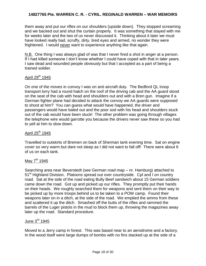them away and put our rifles on our shoulders (upside down). They stopped screaming and we backed out and shut the curtain properly. It was something that stayed with me for weeks later and the two of us never discussed it. Thinking about it later we must have looked really bad, scruffy, dirty, tired eyes and armed, no wonder they were frightened. I would never want to experience anything like that again.

N.B. One thing I was always glad of was that I never fired a shot in anger at a person. If I had killed someone I don't know whether I could have coped with that in later years. I saw dead and wounded people obviously but that I accepted as a part of being a trained soldier.

## April  $29<sup>th</sup>$  1945

On one of the moves in convoy I was on anti aircraft duty. The Bedford QL troop transport lorry had a round hatch on the roof of the driving cab and the AA guard stood on the seat of the cab with head and shoulders out and with a Bren gun. Imagine if a German fighter plane had decided to attack the convoy we AA guards were supposed to shoot at him? You can guess what would have happened, the driver and passengers would have baled out and the poor sod with his head and shoulders stuck out of the cab would have been stuck! The other problem was going through villages the telephone wire would garrotte you because the drivers never saw these so you had to yell at him to slow down.

#### April  $25^{\text{th}}$  1945

Travelled to outskirts of Bremen on back of Sherman tank evening time. Sat on engine cover so very warm but dare not sleep as I did not want to fall off! There were about 6 of us on each tank.

#### May  $7<sup>th</sup>$  1945

Searching area near Beverstedt (see German road map – nr. Hamburg) attached to 51<sup>st</sup> Highland Division. Platoons spread out over countryside. Cpl and I on country road. Sat at the side of the road eating Bully Beef sandwich about 15 German soldiers came down the road. Got up and picked up our rifles. They promptly put their hands on their heads. We roughly searched them for weapons and sent them on their way to be picked up by more troops behind us to be taken to a POW camp. Found their weapons later on in a ditch, at the side of the road. We emptied the ammo from these and scattered it up the ditch. Smashed off the butts of the rifles and rammed the barrels of the Luger pistols in the mud to block them up, throwing the magazines away later up the road. Standard procedure.

## June 3<sup>rd</sup> 1945

Moved to a Jerry camp in forest. This was based near to an aerodrome and a factory. In the wood itself were large dumps of bombs with no fins stacked up at the side of a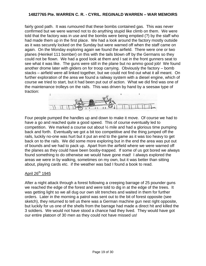fairly good path. It was rumoured that these bombs contained gas. This was never confirmed but we were warned not to do anything stupid like climb on them. We were told that the factory was in use and the bombs were being emptied (?) by the staff who had made them up in the first place. We had a look around the factory mostly outside as it was securely locked on the Sunday but were warned off when the staff came on again. On the Monday exploring again we found the airfield. There were one or two planes (Heinkel 111 bomber) on this with the tails blown off by the Germans so they could not be flown. We had a good look at them and I sat in the front gunners seat to see what it was like. The guns were still in the plane but no ammo good job! We found another drome later with gliders on for troop carrying. Obviously the factory – bomb stacks – airfield were all linked together, but we could not find out what it all meant. On further exploration of the area we found a railway system with a diesel engine, which of course we tried to start, but it had been put out of action. What we did find was one of the maintenance trolleys on the rails. This was driven by hand by a seesaw type of traction:



Four people pumped the handles up and down to make it move. Of course we had to have a go and reached quite a good speed. This of course eventually led to competition. We marked a course out about ½ mile and had a glorious time pumping back and forth. Eventually we got a bit too competitive and the thing jumped off the rails, luckily no-one was hurt but it put an end to the game as it was too heavy to get back on to the rails. We did some more exploring but in the end the area was put out of bounds and we had to pack up. Apart from the airfield where we were warned off the planes as they could have been booby-trapped. If some of us got bored we always found something to do otherwise we would have gone mad! I always explored the areas we were in by walking, sometimes on my own, but it was better than sitting about, playing cards etc. if the weather was bad I found a book to read.

#### April 26<sup>th</sup> 1945

After a night attack through a forest following a creeping barrage of 25 pounder guns we reached the edge of the forest and were told to dig in at the edge of the trees. It was getting light so we all dug our own slit trenches and waited in them for further orders. Later in the morning a patrol was sent out to the bit of forest opposite (see sketch), they returned to tell us there was a German machine gun nest right opposite, but luckily for us one of the shells from the barrage had made a direct hit and killed the 3 soldiers. We would not have stood a chance had they lived. They would have got our entire platoon of 30 men as they could not have missed us!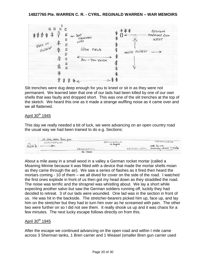

Slit trenches were dug deep enough for you to kneel or sit in as they were not permanent. We learned later that one of our lads had been killed by one of our own shells that was faulty and dropped short. This was one of the slit trenches at the top of the sketch. We heard this one as it made a strange wuffling noise as it came over and we all flattened.

## April 30<sup>th</sup> 1945

This day we really needed a bit of luck, we were advancing on an open country road the usual way we had been trained to do e.g. Sections:

|      | 10 Men unche Bren gun |            |            |           |                                    |  |
|------|-----------------------|------------|------------|-----------|------------------------------------|--|
| KOAD | <b>OOOOOOOCOO</b>     |            | 0000000000 |           | OOOOOOOOOO                         |  |
|      |                       |            | as before  |           | and So on<br>covering about I mile |  |
|      |                       | 0000000000 |            | 000000000 |                                    |  |
|      |                       | as cloose  |            |           |                                    |  |

About a mile away in a small wood in a valley a German rocket mortar (called a Moaning Minnie because it was fitted with a device that made the mortar shells moan as they came through the air). We saw a series of flashes as it fired then heard the mortars coming - 10 of them – we all dived for cover on the side of the road. I watched the first ones explode in front of us then got my head down as they straddled the road. The noise was terrific and the shrapnel was whistling about. We lay a short while expecting another salvo but saw the German soldiers running off, luckily they had decided to retreat. 3 of our lads were wounded. One lad was in the section in front of us. He was hit in the backside. The stretcher-bearers picked him up, face up, and lay him on the stretcher but they had to turn him over as he screamed with pain. The other two were further on so I did not see them. It really shook us up and it was chaos for a few minutes. The next lucky escape follows directly on from this.

#### April  $30<sup>th</sup>$  1945

After the escape we continued advancing on the open road and within I mile came across 3 Sherman tanks, 1 Bren carrier and 1 Weasel (smaller Bren gun carrier used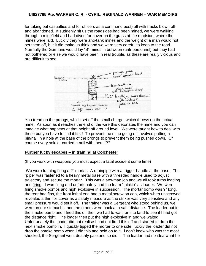for taking out casualties and for officers as a command post) all with tracks blown off and abandoned. It suddenly hit us the roadsides had been mined, we were walking through a minefield and had dived for cover on the grass at the roadside, where the mines were laid. Luckily they were anti-tank mines and the weight of a man would not set them off, but it did make us think and we were very careful to keep to the road. Normally the Germans would lay "S" mines in between (anti-personnel) but they had not bothered or else we would have been in real trouble, as these are really vicious and are difficult to see.



You tread on the prongs, which set off the small charge, which throws up the actual mine. As soon as it reaches the end of the wire this detonates the mine and you can imagine what happens at that height off ground level. We were taught how to deal with these but you have to find it first! To prevent the mine going off involves putting a pin/nail in a hole at the base of the prongs to prevent them being pushed down. Of course every soldier carried a nail with them!!??

#### **Further lucky escapes – in training at Colchester**

(If you work with weapons you must expect a fatal accident some time)

We were training firing a 2" mortar. A drainpipe with a trigger handle at the base. The "pipe" was fastened to a heavy metal base with a threaded handle used to adjust trajectory and secure the mortar. This was a two-man job and we all took turns loading and firing. I was firing and unfortunately had the team "thickie" as loader. We were firing smoke bombs and high explosive in succession. The mortar bomb was 9" long, the rear had fins, the front lethal end had a metal screw on cap, which when unscrewed revealed a thin foil cover as a safety measure as the striker was very sensitive and any small pressure would set it off. The trainer was a Sergeant who stood behind us, we were on our stomachs, and the others were back at a safe distance. The loader put in the smoke bomb and I fired this off then we had to wait for it to land to see if I had got the distance right. The loader then put the high explosive in and we waited. Unfortunately the loader did not realise I had not fired this off and started to drop the next smoke bomb in. I quickly tipped the mortar to one side, luckily the loader did not drop the smoke bomb when I did this and held on to it. I don't know who was the most shocked, the Sergeant went deathly pale and so did I! The loader had no idea what he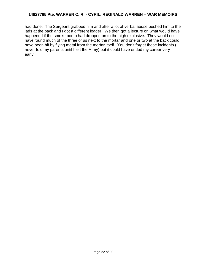had done. The Sergeant grabbed him and after a lot of verbal abuse pushed him to the lads at the back and I got a different loader. We then got a lecture on what would have happened if the smoke bomb had dropped on to the high explosive. They would not have found much of the three of us next to the mortar and one or two at the back could have been hit by flying metal from the mortar itself. You don't forget these incidents (I never told my parents until I left the Army) but it could have ended my career very early!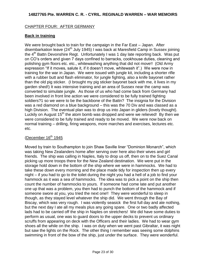## CHAPTER FOUR: AFTER GERMANY

## **Back in training**

We were brought back to train for the campaign in the Far East – Japan. After disembarkation leave (24<sup>th</sup> July 1945) I was back at Maresfield Camp in Sussex joining the  $4<sup>th</sup>$  Battn Devonshire Regt. Unfortunately I was 1 day late reporting back. Was put on CO's orders and given 7 days confined to barracks, cookhouse duties, cleaning and polishing gym floors etc. etc., whitewashing anything that did not move!! (Old Army expression "If it moves, salute it, if it doesn't move, whitewash it".) We were now in training for the war in Japan. We were issued with jungle kit, including a shorter rifle with a rubber butt and flash eliminator, for jungle fighting, also a knife bayonet rather than the old pig sticker. (I brought my pig sticker bayonet back with me, it lives in my garden shed!) It was intensive training and an area of Sussex near the camp was converted to simulate jungle. As those of us who had come back from Germany had been involved in front line action we were considered to be fully trained fighting soldiers?1 so we were to be the backbone of the Battn? The insignia for the Division was a red diamond on a blue background – this was the 70 Div and was classed as a high Division. The eventual plan was to drop us into Japan in gliders (lovely thought). Luckily on August  $15<sup>th</sup>$  the atom bomb was dropped and were we relieved! By then we were considered to be fully trained and ready to be moved. We were now back on normal training – drilling, firing weapons, more marches and exercises, lectures etc. etc.

# (December  $16<sup>th</sup> 1945$

Moved by train to Southampton to join Shaw Saville liner "Dominion Monarch", which was taking New Zealanders home after serving over here also their wives and girl friends. The ship was calling in Naples, Italy to drop us off, then on to the Suez Canal picking up more troops there for the New Zealand destination. We were put in the storage hold down in the bottom of the ship where we were in hammocks. We had to take these down every morning and the place made tidy for inspection then up every night – if you had to go to the toilet during the night you had a hell of a job to find your hammock as it was a sea of hammocks. The idea was to pick a point on the ship then count the number of hammocks to yours. If someone had come late and put another one up that was a problem, you then had to punch the bottom of the hammock and if someone swore at you, you tried the next one!! They were wonderful to sleep in though, as they stayed level whatever the ship did. We went through the Bay of Biscay, which was very rough. I was violently seasick the first full day and ate nothing, but the next day I ate all my meals plus any going spare. One or two badly affected lads had to be carried off the ship in Naples on stretchers! We did have some duties to perform as usual, one was to guard doors to the upper decks to prevent us ordinary scruffs from appearing on deck with the Officers and their ladies. We had to wear gym shoes all the while on the ship. I was on duty when we went past Gibraltar, it was night but saw the lights on the Rock. The other thing I remember was seeing some dolphins swimming in front of the bow of the ship, just under the surface. They were wonderful.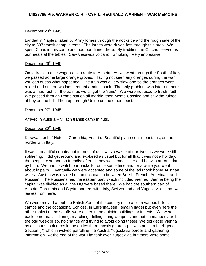## December 23<sup>rd</sup> 1945

Landed in Naples, taken by Army lorries through the dockside and the rough side of the city to 307 transit camp in tents. The lorries were driven fast through this area. We spent Xmas in this camp and had our dinner there. By tradition the Officers served us our meals at the tables. Saw Vesuvius volcano. Smoking. Very impressive.

## December  $26<sup>th</sup>$  1945

On to train – cattle wagons – en route to Austria. As we went through the South of Italy we passed some large orange groves. Having not seen any oranges during the war you can guess what happened. The train was a very slow one so the oranges were raided and one or two lads brought armfuls back. The only problem was later on there was a mad rush off the train as we all got the "runs". We were not used to fresh fruit! We passed through Rome station all marble; then Monte Cassino and saw the ruined abbey on the hill. Then up through Udine on the other coast.

## December  $27<sup>th</sup>$  1945

Arrived in Austria – Villach transit camp in huts.

## December  $30<sup>th</sup>$  1945

Karawankenhof Hotel in Carenthia, Austria. Beautiful place near mountains, on the border with Italy.

It was a beautiful country but to most of us it was a waste of our lives as we were still soldiering. I did get around and explored as usual but for all that it was not a holiday, the people were not too friendly; after all they welcomed Hitler and he was an Austrian by birth. We had to watch our backs for quite some time and for a while you went about in pairs. Eventually we were accepted and some of the lads took home Austrian wives. Austria was divided up on occupation between British, French, American, and Russian. The Russians had the eastern part, which included Vienna. Vienna being the capital was divided as all the HQ were based there. We had the southern part of Austria, Carenthia and Styria, borders with Italy, Switzerland and Yugoslavia. I had two leaves from here.

We were moved about the British Zone of the country quite a bit in various billets, camps and the occasional Schloss, in Ehrenhausen, (small village) but even here the other ranks i.e. the scruffs were either in the outside buildings or in tents. We were back to normal soldiering, marching, drilling, firing weapons and out on manoeuvres for the odd week or so, no change and trying to avoid doing these! We did get to Vienna as all battns took turns in the duties there mostly guarding. I was put into Intelligence Section (?) which involved patrolling the Austria/Yugoslavia border and gathering information. At the end of the war Tito took over Yugoslavia but there were some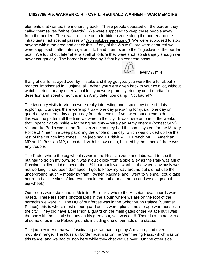elements that wanted the monarchy back. These people operated on the border, they called themselves "White Guards". We were supposed to keep these people away from the border. There was a 1 mile deep forbidden zone along the border and the inhabitants had special passes a "Wohnsitzbesheinegung"! We were supposed to stop anyone within the area and check this. If any of the White Guard were captured we were supposed – after interrogation – to hand them over to the Yugoslavs at the border post. We found out later after a spell of torture they were shot, so strangely enough we never caught any! The border is marked by 3 foot high concrete posts

If any of our lot strayed over by mistake and they got you, you were there for about 3 months, imprisoned in Llubjana jail. When you were given back to your own lot, without watches, rings or any other valuables, you were promptly tried by court martial for desertion and spent 6 months in an Army detention camp! Not bad eh?

every ½ mile.

The two duty visits to Vienna were really interesting and I spent my time off duty exploring. Our days there were split up – one day preparing for guard, one day on guard duty and one day or part day free, depending if you were put on camp duties, this was the pattern all the time we were in the city. It was here on one of the weeks that I spent 7 days inside – for being naughty – purely an Army offence (honest Guv!) Vienna like Berlin was in the Russian zone so they had the same system for the Military Police of 4 men in a Jeep patrolling the whole of the city, which was divided up like the rest of the country into zones. The jeep had 1 British MP, 1 French MP, 1 American MP and 1 Russian MP, each dealt with his own men, backed by the others if there was any trouble.

The Prater where the big wheel is was in the Russian zone and I did want to see this but had to go on my own, so it was a quick look from a side alley as the Park was full of Russian soldiers. I did spend about ¼ hour but it was worth it, the wheel obviously was not working, it had been damaged. I got to know my way around but did not use the underground much – mostly by tram. (When Rachael and I went to Vienna I could take her round all the sites of interest, I could remember most areas and we did go on the big wheel.)

Our troops were stationed in Meidling Barracks, where the Austrian royal guards were based. There are some photographs in the album where we are on the roof of the barracks we were in. The HQ of our forces was in the Schonbrunn Palace (Summer Palace), this is where most of our guard duties were, plus some storage warehouses in the city. They did have a ceremonial guard on the main gates of the Palace but I was the one with the plastic buttons on his greatcoat, so I was out!! There is a photo or two of some of us in the Palace grounds including one of our lads on a statue.

The journey to Vienna was fascinating as we had to go by Army lorry and over a mountain range. The Russian border post was on the Semmering Pass, which was on this range, and we had to stop here while they checked us over. On the other side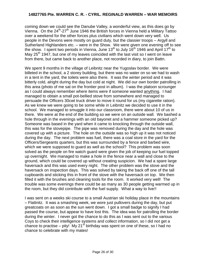coming down we could see the Danube Valley, a wonderful view, as this does go by Vienna. On the 24<sup>th</sup>-27<sup>th</sup> June 1946 the British forces in Vienna held a Military Tattoo over a weekend for the other forces plus civilians which went down very well. Us people in the Devons were mostly on guard duty, but the classier troops – Argyll and Sutherland Highlanders etc. – were in the Show. We were given one evening off to see the show. I spent two periods in Vienna, June  $13^{th}$  to July  $16^{th}$  1946 and April 17<sup>th</sup> to May 25<sup>th</sup> 1947, but one of my leaves coincided with the last visit so I went on leave from there, but came back to another place, not recorded in diary, to join Battn.

We spent 9 months in the village of Leibnitz near the Yugoslav border. We were billeted in the school, a 2 storey building, but there was no water on so we had to wash in a tent in the yard, the toilets were also there. It was the winter period and it was bitterly cold, alright during the day but cold at night. We did our own border patrolling in this area (photo of me sat on the frontier post in album). I was the platoon scrounger as I could always remember where items were if someone wanted anything. I had managed to obtain a small pot-bellied stove from somewhere and managed to persuade the Officers 30cwt truck driver to move it round for us (my cigarette ration). As we knew we were going to be some while in Leibnitz we decided to use it in the school. We managed to smuggle it into our classroom, there were about 10 of us in there. We were at the end of the building so we were on an outside wall. We bashed a hole through in the evenings with an old bayonet and a hammer someone picked up? Someone was based in the yard when it came to knocking through the outside wall, this was for the stovepipe. The pipe was removed during the day and the hole was covered up with a picture. The hole on the outside was so high up it was not noticed during the day. The next problem was fuel, there was a coal store in the yard for the Officers/Sergeants quarters, but this was surrounded by a fence and barbed wire, which we were supposed to guard as well as the school? This problem was soon solved as the people on fire watch guard were given the job of keeping our fuel topped up overnight. We managed to make a hole in the fence near a wall and close to the ground, which could be covered up without creating suspicion. We had a spare large haversack and this was used every night. The other problem was the stove and the haversack on inspection days. This was solved by taking the back off one of the tall cupboards and sticking this in front of the stove with the haversack on top. We then filled it with the brushes and cleaning tools for the room. It worked very well! The trouble was some evenings there could be as many as 30 people getting warmed up in the room, but they did contribute with the fuel supply. What a way to live!!

I was sent on a weeks ski course to a small Austrian ski holiday place in the mountains – Flattnitz. It was a smashing week, we wore just pullovers during the day, but put greatcoats on as soon as the sun went down. I got a small badge to signify I had passed the course, but appear to have lost this. The idea was for patrolling the border during the winter. I never got the chance to do this as I was sent out to the various Coys to check their intelligence systems and collect information, so I did not get a chance to practise – pity! My 21<sup>st</sup> birthday was spent on one of these, so I had no chance to celebrate with my mates!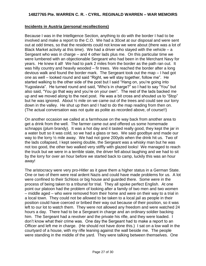## **Incidents in Austria (personal recollections)**

Because I was in the Intelligence Section, anything to do with the border I had to be involved and make a report to the C.O. We had a 30cwt at our disposal and were sent out at odd times, so that the residents could not know we were about (there was a lot of Black Market activity at this time). We had a driver who stayed with the vehicle  $-$  a Sergeant who was in charge – and 4 other lads plus me. On this particular time we were lumbered with an objectionable Sergeant who had been in the Merchant Navy for years. He knew it all! We had to park 2 miles from the border as the path ran out. It was hilly country and heavily wooded – fir trees. We reached the border after a long devious walk and found the border mark. The Sergeant took out the map – I had got one as well – looked round and said "Right, we will stay together, follow me". He started walking to the other side of the post but I said "Hang on, you're going into Yugoslavia". He turned round and said, "Who's in charge?" so I had to say "You" but also said, "You go that way and you're on your own". The rest of the lads backed me up and we moved along to the next post. He was a bit cross and shouted us to "Stop" but he was ignored. About ½ mile on we came out of the trees and could see our lorry down in the valley. He shut up then and I had to do the map reading from then on. (The actual conversation was not quite as polite as recorded above, of course!!)

On another occasion we called at a farmhouse on the way back from another area to get a drink from the well. The farmer came out and offered us some homemade schnapps (plum brandy). It was a hot day and it tasted really good, they kept the jar in a water butt so it was cold, so we had a glass or two. We said goodbye and made our way to the lorry ½ mile away. We had not gone 200yds when the drink hit us. Two of the lads collapsed, I kept seeing double, the Sergeant was a whisky man but he was not too good, the other two walked very stiffly with glazed looks! We managed to reach the truck but we were in a terrible state, the driver fell about laughing and we had to sit by the lorry for over an hour before we started back to camp, luckily this was an hour away!

The aristocracy were very pro-Hitler as it gave them a higher status in a German State. One or two of them were real ardent Nazis and could have made problems for us. A lot were confined to their Schloss or big house and guarded there. Some were in the process of being taken to a tribunal for trial. They all spoke perfect English. At one point our platoon had the problem of looking after a family of two men and two women – middle aged – who were removed from their home and were on their way to a trial in a local town. They could not be allowed to be taken to a local jail as people in their position could have coerced or bribed their way out because of their position, so it was left to our lot to watch them. They were not allowed any freedom and were watched 24 hours a day. There had to be a Sergeant in charge and an ordinary soldier backing him. The Sergeant had a revolver and the private his rifle, and they were loaded. I don't know what their crime was. One day the Sergeant had to make a report to an Officer and left me in charge. (He should not have done this.) I sat on a low wall in the courtyard of a house, with my rifle leaning against the wall beside me. The people were standing in the middle of the yard. They were talking between themselves. One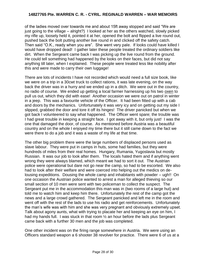of the ladies moved over towards me and about 15ft away stopped and said "We are just going to the village – alright?) I looked at her as the others watched, slowly picked my rifle up, loosely held it, pointed it at her, opened the bolt and flipped a live round out, pushed back the bolt putting another live round in and clicked off the safety catch. Then said "O.K., ready when you are". She went very pale. If looks could have killed I would have dropped dead! I gather later these people treated the ordinary soldiers like dirt. When the Sergeant came back I was picking up the live round from the ground. He could tell something had happened by the looks on their faces, but did not say anything till later, when I explained. These people were treated less like nobility after this and were made to carry their own luggage!

There are lots of incidents I have not recorded which would need a full size book, like we were on a trip in a 30cwt truck to collect rations, it was late evening, on the way back the driver was in a hurry and we ended up in a ditch. We were out in the country, no radio of course. We ended up getting a local farmer harnessing up his two oxen to pull us out, which they did with ease! Another occasion we were out on patrol in winter in a jeep. This was a favourite vehicle of the Officer. It had been fitted up with a cab and doors by the mechanics. Unfortunately it was very icy and on getting out my side I slipped, grabbed the door and tore it off its hinges! The driver panicked but when we got back I volunteered to say what happened. The Officer went spare; the trouble was I had great trouble in keeping a straight face. I got away with it, but only just! I was the one that damaged the door, of course. As mentioned before Austria was a beautiful country and on the whole I enjoyed my time there but it still came down to the fact we were there to do a job and it was a waste of my life at that time.

The other big problem there were the large numbers of displaced persons used as slave labour. They were put in camps in huts, some had families, but they were hundreds of miles from their real homes. Hungary, Rumania, Yugoslavia but mostly Russian. It was our job to look after them. The locals hated them and if anything went wrong they were always blamed, which meant we had to sort it out. The Austrian police were operational but dare not go near the camp, so had to be escorted. We also had to look after their welfare and were coerced into helping out the medics on delousing expeditions. Dousing the whole camp and inhabitants with powder – ugh!! On one occasion the Austrian police wanted to arrest a man for alleged thieving so our small section of 10 men were sent with two policeman to collect the suspect. The Sergeant put me in the accommodation this man was in (two rooms of a large hut) and told me to watch him and keep him there. Unfortunately the rest of the camp got the news and a large crowd gathered. The Sergeant panicked and left me in the room and went off with the rest of the lads to use his radio and get reinforcements. Unfortunately the man's wife was with him and she was very pregnant and obviously extremely upset. Talk about agony aunts, what with trying to placate her and keeping an eye on him, I had my hands full. I was stuck in that room  $\frac{1}{2}$  an hour before the lads plus Sergeant came back with a further 30 men and the job was completed.

One other incident was on the firing range somewhere in Austria. We were using an Officers standard weapon a 6 shooter 38 revolver for practice. There were 6 of us at a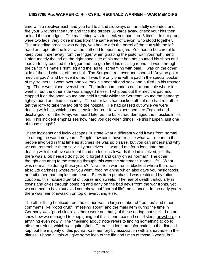time with a revolver each and you had to stand sideways on, arm fully extended and fire your 6 rounds then turn and face the targets 30 yards away, check your hits then unload the cartridges. The main thing was to check you had fired 6 times. In our group were two lads, very close mates from the same area of Devon, who stood together. The unloading process was dodgy, you had to grip the barrel of the gun with the left hand and operate the lever at the butt end to open the gun. You had to be careful to keep your finger away from the trigger when grasping the pistol with your right hand. Unfortunately the lad on the right hand side of his mate had not counted his shots and inadvertently touched the trigger and the gun fired his missing round. It went through the calf of his mate's right leg and the lad fell screaming with pain. I was on the other side of the lad who let off the shot. The Sergeant ran over and shouted "Anyone got a medical pad?" and believe it or not, I was the only one with a pad in the special pocket of my trousers. I went over and we took his boot off and sock and pulled up his trouser leg. There was blood everywhere. The bullet had made a neat round hole where it went in, but the other side was a jagged mess. I whipped out the medical pad and clapped it on the open wound and held it firmly while the Sergeant wound the bandage tightly round and tied it securely. The other lads had backed off but one had run off to get the lorry to take the lad off to the hospital. He had passed out while we were dealing with him, which made it easier for us. He was sent home to England and discharged from the Army, we heard later as the bullet had damaged the muscles in his leg. This incident emphasises how hard you get when things like this happen, just one of those things!!?

These incidents and lucky escapes illustrate what a different world it was from normal life during the war time years. People now could never realise what war meant to the people involved in that time as at times life was so bizarre, but you can understand why we can remember them so vividly ourselves. It worried me for a long time that in dealing with the above accident I had no feelings towards the lad involved, just that there was a job needed doing, do it, forget it and carry on as normal? The other thought occurring to me reading through this was the statement "normal life". What was normal life during these years? News from war fronts, blackout where there was absolute darkness wherever you went, food rationing which also gave you basic foods, no fruit other than apples and pears. Every item purchased was restricted by ration coupons, this included petrol of course and sweets. The fear of death particularly in towns and cities through bombing and early on the bad news from the war fronts, yet we seemed to have survived somehow, but "normal life", no chance!! In the early years there was fear of invasion on top of everything else.

The other thing I noticed from the diaries was a large number of "fed ups" and other comments like "good grub", "messing about" and the main item during the time in Germany was "good sleep" as there were not many of these during that spell. I do not know how we managed to keep going but this is one reason I could sleep anywhere on anything even now!? The "messing about" note refers to finding something to do to offset boredom, which was quite often. There is a lot more information in the diaries I kept but the majority of this journal was memory by association with a short note in the diaries. I hope all this will give some idea of the life and times of those 6 years, but I